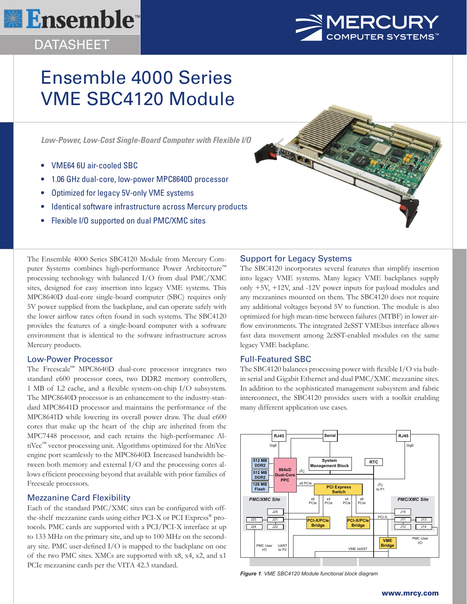# **<u> <b>\**</u> Ensemble™

### DATASHEET



## Ensemble 4000 Series VME SBC4120 Module

*Low-Power, Low-Cost Single-Board Computer with Flexible I/O*

- VME64 6U air-cooled SBC
- 1.06 GHz dual-core, low-power MPC8640D processor
- Optimized for legacy 5V-only VME systems
- Identical software infrastructure across Mercury products
- Flexible I/O supported on dual PMC/XMC sites

The Ensemble 4000 Series SBC4120 Module from Mercury Computer Systems combines high-performance Power Architecture™ processing technology with balanced I/O from dual PMC/XMC sites, designed for easy insertion into legacy VME systems. This MPC8640D dual-core single-board computer (SBC) requires only 5V power supplied from the backplane, and can operate safely with the lower airflow rates often found in such systems. The SBC4120 provides the features of a single-board computer with a software environment that is identical to the software infrastructure across Mercury products.

#### Low-Power Processor

The Freescale™ MPC8640D dual-core processor integrates two standard e600 processor cores, two DDR2 memory controllers, 1 MB of L2 cache, and a flexible system-on-chip I/O subsystem. The MPC8640D processor is an enhancement to the industry-standard MPC8641D processor and maintains the performance of the MPC8641D while lowering its overall power draw. The dual e600 cores that make up the heart of the chip are inherited from the MPC7448 processor, and each retains the high-performance AltiVec™ vector processing unit. Algorithms optimized for the AltiVec engine port seamlessly to the MPC8640D. Increased bandwidth between both memory and external I/O and the processing cores allows efficient processing beyond that available with prior families of Freescale processors.

#### Mezzanine Card Flexibility

Each of the standard PMC/XMC sites can be configured with offthe-shelf mezzanine cards using either PCI-X or PCI Express® protocols. PMC cards are supported with a PCI/PCI-X interface at up to 133 MHz on the primary site, and up to 100 MHz on the secondary site. PMC user-defined I/O is mapped to the backplane on one of the two PMC sites. XMCs are supported with x8, x4, x2, and x1 PCIe mezzanine cards per the VITA 42.3 standard.



1897

The SBC4120 incorporates several features that simplify insertion into legacy VME systems. Many legacy VME backplanes supply only +5V, +12V, and -12V power inputs for payload modules and any mezzanines mounted on them. The SBC4120 does not require any additional voltages beyond 5V to function. The module is also optimized for high mean-time between failures (MTBF) in lower airflow environments. The integrated 2eSST VMEbus interface allows fast data movement among 2eSST-enabled modules on the same legacy VME backplane.

#### Full-Featured SBC

The SBC4120 balances processing power with flexible I/O via builtin serial and Gigabit Ethernet and dual PMC/XMC mezzanine sites. In addition to the sophisticated management subsystem and fabric interconnect, the SBC4120 provides users with a toolkit enabling many different application use cases.



*Figure 1. VME SBC4120 Module functional block diagram*